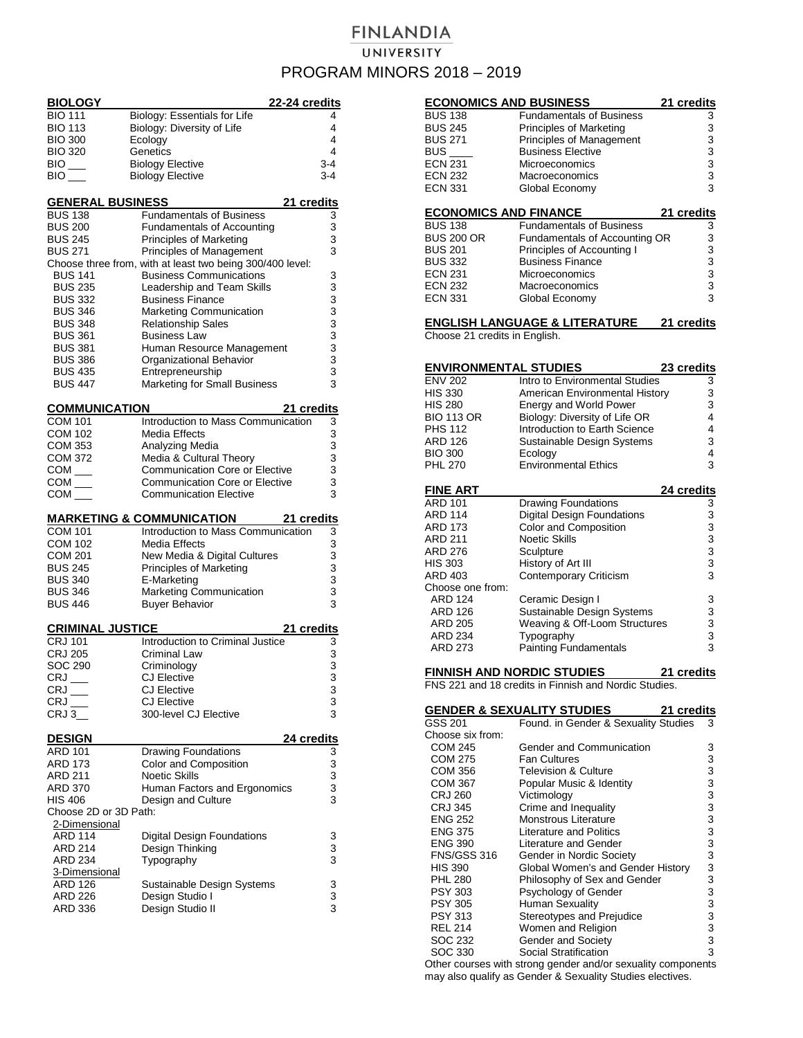## **FINLANDIA** UNIVERSITY PROGRAM MINORS 2018 – 2019

| <b>BIOLOGY</b>                             | 22-24 credits                                                          |                                            |
|--------------------------------------------|------------------------------------------------------------------------|--------------------------------------------|
| <b>BIO 111</b>                             | Biology: Essentials for Life                                           | 4                                          |
| <b>BIO 113</b>                             | Biology: Diversity of Life                                             | 4                                          |
| <b>BIO 300</b>                             | Ecology                                                                | 4<br>4                                     |
| <b>BIO 320</b><br>$BIO$ <sub>——</sub>      | Genetics<br><b>Biology Elective</b>                                    | 3-4                                        |
| $BIO$ <sub>——</sub>                        | <b>Biology Elective</b>                                                | 3-4                                        |
|                                            |                                                                        |                                            |
| <b>GENERAL BUSINESS</b><br><b>BUS 138</b>  | 21 credits<br><b>Fundamentals of Business</b>                          |                                            |
| <b>BUS 200</b>                             | <b>Fundamentals of Accounting</b>                                      | 3<br>3                                     |
| <b>BUS 245</b>                             | <b>Principles of Marketing</b>                                         | 3                                          |
| <b>BUS 271</b>                             | Principles of Management                                               | 3                                          |
|                                            | Choose three from, with at least two being 300/400 level:              |                                            |
| <b>BUS 141</b>                             | <b>Business Communications</b>                                         | 3                                          |
| <b>BUS 235</b>                             | Leadership and Team Skills                                             | 3                                          |
| <b>BUS 332</b>                             | <b>Business Finance</b>                                                | 3                                          |
| <b>BUS 346</b><br><b>BUS 348</b>           | <b>Marketing Communication</b><br><b>Relationship Sales</b>            | 3<br>3                                     |
| <b>BUS 361</b>                             | <b>Business Law</b>                                                    |                                            |
| <b>BUS 381</b>                             | Human Resource Management                                              | $\begin{array}{c} 3 \\ 3 \\ 3 \end{array}$ |
| <b>BUS 386</b>                             | Organizational Behavior                                                |                                            |
| <b>BUS 435</b>                             | Entrepreneurship                                                       |                                            |
| <b>BUS 447</b>                             | <b>Marketing for Small Business</b>                                    | 3                                          |
| <b>COMMUNICATION</b>                       | 21 credits                                                             |                                            |
| <b>COM 101</b>                             | Introduction to Mass Communication                                     | 3                                          |
| <b>COM 102</b>                             | Media Effects                                                          | 3                                          |
| <b>COM 353</b>                             | Analyzing Media                                                        | 3                                          |
| <b>COM 372</b>                             | Media & Cultural Theory                                                | 3                                          |
| $COM$ $\_\_$                               | <b>Communication Core or Elective</b>                                  | 3<br>3                                     |
| $COM$ <sub>——</sub><br>$\mathsf{COM} \_\_$ | <b>Communication Core or Elective</b><br><b>Communication Elective</b> | 3                                          |
|                                            |                                                                        |                                            |
|                                            |                                                                        |                                            |
|                                            | <b>MARKETING &amp; COMMUNICATION</b><br>21 credits                     |                                            |
| <b>COM 101</b>                             | Introduction to Mass Communication                                     | 3                                          |
| <b>COM 102</b>                             | Media Effects                                                          | 3                                          |
| <b>COM 201</b>                             | New Media & Digital Cultures                                           | 3                                          |
| <b>BUS 245</b><br><b>BUS 340</b>           | <b>Principles of Marketing</b><br>E-Marketing                          | 3<br>3                                     |
| <b>BUS 346</b>                             | Marketing Communication                                                | 3                                          |
| <b>BUS 446</b>                             | <b>Buyer Behavior</b>                                                  | 3                                          |
| <b>CRIMINAL JUSTICE</b>                    |                                                                        |                                            |
| <b>CRJ 101</b>                             | 21 credits<br>Introduction to Criminal Justice                         | 3                                          |
| <b>CRJ 205</b>                             | Criminal Law                                                           | 3                                          |
| SOC 290                                    | Criminology                                                            | 3                                          |
| CRJ                                        | <b>CJ</b> Elective                                                     | 3                                          |
| CRJ ___                                    | <b>CJ Elective</b>                                                     | 3                                          |
| CRJ<br>CRJ 3                               | <b>CJ Elective</b><br>300-level CJ Elective                            | 3<br>3                                     |
|                                            |                                                                        |                                            |
| <u>DESIGN</u>                              | <u>24 credits</u>                                                      |                                            |
| ARD 101                                    | <b>Drawing Foundations</b>                                             | 3                                          |
| ARD 173                                    | Color and Composition                                                  | 3                                          |
| <b>ARD 211</b><br>ARD 370                  | <b>Noetic Skills</b>                                                   | $\overline{3}$                             |
| HIS 406                                    | Human Factors and Ergonomics<br>Design and Culture                     | 3<br>3                                     |
| Choose 2D or 3D Path:                      |                                                                        |                                            |
| 2-Dimensional                              |                                                                        |                                            |
| <b>ARD 114</b>                             | <b>Digital Design Foundations</b>                                      | 3                                          |
| ARD 214                                    | Design Thinking                                                        | 3                                          |
| <b>ARD 234</b>                             | Typography                                                             | 3                                          |
| <u>3-Dimensional</u>                       |                                                                        |                                            |
| ARD 126<br>ARD 226                         | Sustainable Design Systems<br>Design Studio I                          | 3                                          |
| ARD 336                                    | Design Studio II                                                       | 3<br>3                                     |

| <b>ECONOMICS AND BUSINESS</b>       |                                                                | 21 credits         |
|-------------------------------------|----------------------------------------------------------------|--------------------|
| <b>BUS 138</b>                      | <b>Fundamentals of Business</b>                                | 3                  |
| <b>BUS 245</b>                      | <b>Principles of Marketing</b>                                 | 3                  |
| <b>BUS 271</b>                      | Principles of Management                                       | 3                  |
| <b>BUS</b>                          | <b>Business Elective</b>                                       | 3                  |
| <b>ECN 231</b>                      | Microeconomics                                                 | 3                  |
| <b>ECN 232</b>                      | Macroeconomics                                                 | 3                  |
| <b>ECN 331</b>                      | Global Economy                                                 | 3                  |
| <b>ECONOMICS AND FINANCE</b>        |                                                                | 21 credits         |
| <b>BUS 138</b>                      | <b>Fundamentals of Business</b>                                | 3                  |
| <b>BUS 200 OR</b>                   | Fundamentals of Accounting OR                                  | 3                  |
| <b>BUS 201</b>                      | Principles of Accounting I                                     | 3                  |
| <b>BUS 332</b>                      | <b>Business Finance</b>                                        | 3                  |
| <b>ECN 231</b>                      | Microeconomics                                                 | 3                  |
| <b>ECN 232</b><br><b>ECN 331</b>    | Macroeconomics<br>Global Economy                               | 3<br>3             |
|                                     | <u>ENGLISH LANGUAGE &amp; LITERATURE</u>                       | 21 credits         |
| Choose 21 credits in English.       |                                                                |                    |
|                                     |                                                                |                    |
| <u>ENVIRONMENTAL STUDIES</u>        |                                                                | 23 credits         |
| <b>ENV 202</b>                      | Intro to Environmental Studies                                 | 3                  |
| <b>HIS 330</b>                      | American Environmental History                                 | 3                  |
| <b>HIS 280</b>                      | Energy and World Power                                         | 3                  |
| <b>BIO 113 OR</b><br><b>PHS 112</b> | Biology: Diversity of Life OR<br>Introduction to Earth Science | 4<br>4             |
| <b>ARD 126</b>                      | <b>Sustainable Design Systems</b>                              | 3                  |
| <b>BIO 300</b>                      | Ecology                                                        | 4                  |
| <b>PHL 270</b>                      | <b>Environmental Ethics</b>                                    | 3                  |
|                                     |                                                                |                    |
| <b>FINE ART</b>                     |                                                                | 24 credits         |
| <b>ARD 101</b>                      | <b>Drawing Foundations</b>                                     | 3                  |
| <b>ARD 114</b>                      | <b>Digital Design Foundations</b>                              | 3                  |
| ARD 173<br>ARD 211                  | Color and Composition<br><b>Noetic Skills</b>                  | 3<br>3<br>3        |
| ARD 276                             | Sculpture                                                      |                    |
| <b>HIS 303</b>                      | History of Art III                                             | 3                  |
| ARD 403                             | Contemporary Criticism                                         | 3                  |
| Choose one from:                    |                                                                |                    |
| <b>ARD 124</b>                      | Ceramic Design I                                               | 3                  |
| <b>ARD 126</b>                      | Sustainable Design Systems                                     | 3                  |
| ARD 205                             | Weaving & Off-Loom Structures                                  | 3                  |
| ARD 234                             | Typography                                                     | 3                  |
| ARD 273                             | Painting Fundamentals                                          | 3                  |
| <u>FINNISH AND NORDIC STUDIES</u>   |                                                                | <u> 21 credits</u> |
|                                     | FNS 221 and 18 credits in Finnish and Nordic Studies.          |                    |
|                                     | <u>GENDER &amp; SEXUALITY STUDIES</u>                          | 21 credits         |
| GSS 201                             | Found. in Gender & Sexuality Studies                           | 3                  |
| Choose six from:                    |                                                                |                    |
| COM 245                             | Gender and Communication                                       | 3                  |
| COM 275                             | <b>Fan Cultures</b>                                            |                    |
| COM 356                             | Television & Culture                                           |                    |
| COM 367                             | Popular Music & Identity                                       |                    |
| CRJ 260                             | Victimology                                                    |                    |
| CRJ 345                             | Crime and Inequality                                           |                    |
| <b>ENG 252</b>                      | <b>Monstrous Literature</b>                                    |                    |
| <b>ENG 375</b>                      | Literature and Politics                                        |                    |
| <b>ENG 390</b><br>FNS/GSS 316       | Literature and Gender<br>Gender in Nordic Society              | 3333333333         |
| <b>HIS 390</b>                      | Global Women's and Gender History                              |                    |
| <b>PHL 280</b>                      | Philosophy of Sex and Gender                                   |                    |
| <b>PSY 303</b>                      | Psychology of Gender                                           | 3<br>3             |
| <b>PSY 305</b>                      | <b>Human Sexuality</b>                                         |                    |
| PSY 313                             | Stereotypes and Prejudice                                      | $\frac{3}{3}$      |
| <b>REL 214</b>                      | Women and Religion                                             |                    |
| SOC 232                             | Gender and Society                                             | 3<br>3<br>3        |
| SOC 330                             | Social Stratification                                          |                    |
|                                     | Other courses with strong gender and/or sexuality components   |                    |

may also qualify as Gender & Sexuality Studies electives.